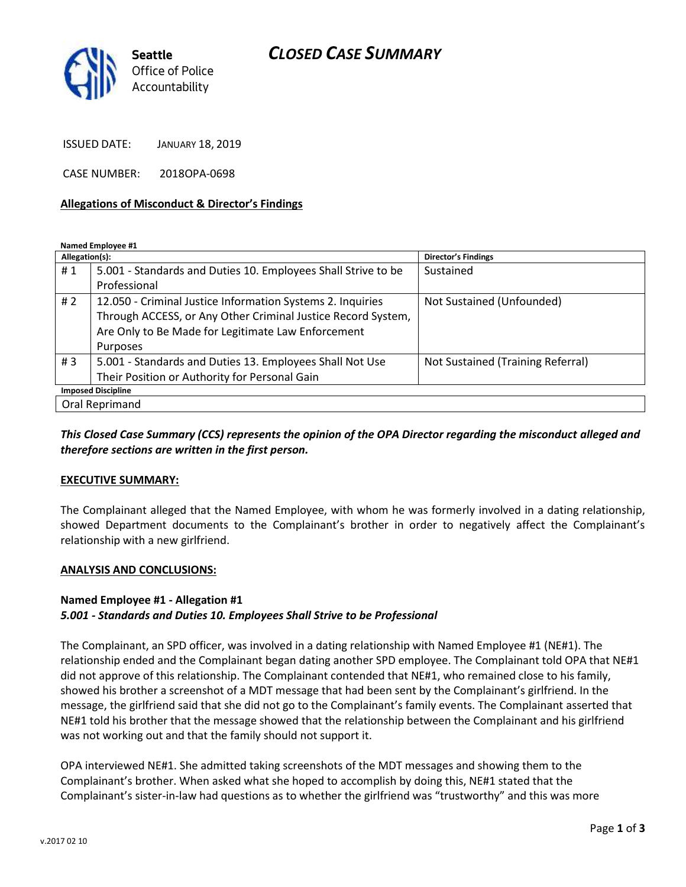## *CLOSED CASE SUMMARY*



ISSUED DATE: JANUARY 18, 2019

CASE NUMBER: 2018OPA-0698

### **Allegations of Misconduct & Director's Findings**

**Named Employee #1**

| Allegation(s):            |                                                               | <b>Director's Findings</b>        |
|---------------------------|---------------------------------------------------------------|-----------------------------------|
| #1                        | 5.001 - Standards and Duties 10. Employees Shall Strive to be | Sustained                         |
|                           | Professional                                                  |                                   |
| #2                        | 12.050 - Criminal Justice Information Systems 2. Inquiries    | Not Sustained (Unfounded)         |
|                           | Through ACCESS, or Any Other Criminal Justice Record System,  |                                   |
|                           | Are Only to Be Made for Legitimate Law Enforcement            |                                   |
|                           | Purposes                                                      |                                   |
| # $3$                     | 5.001 - Standards and Duties 13. Employees Shall Not Use      | Not Sustained (Training Referral) |
|                           | Their Position or Authority for Personal Gain                 |                                   |
| <b>Imposed Discipline</b> |                                                               |                                   |
| Oral Reprimand            |                                                               |                                   |

## *This Closed Case Summary (CCS) represents the opinion of the OPA Director regarding the misconduct alleged and therefore sections are written in the first person.*

#### **EXECUTIVE SUMMARY:**

The Complainant alleged that the Named Employee, with whom he was formerly involved in a dating relationship, showed Department documents to the Complainant's brother in order to negatively affect the Complainant's relationship with a new girlfriend.

#### **ANALYSIS AND CONCLUSIONS:**

#### **Named Employee #1 - Allegation #1**

### *5.001 - Standards and Duties 10. Employees Shall Strive to be Professional*

The Complainant, an SPD officer, was involved in a dating relationship with Named Employee #1 (NE#1). The relationship ended and the Complainant began dating another SPD employee. The Complainant told OPA that NE#1 did not approve of this relationship. The Complainant contended that NE#1, who remained close to his family, showed his brother a screenshot of a MDT message that had been sent by the Complainant's girlfriend. In the message, the girlfriend said that she did not go to the Complainant's family events. The Complainant asserted that NE#1 told his brother that the message showed that the relationship between the Complainant and his girlfriend was not working out and that the family should not support it.

OPA interviewed NE#1. She admitted taking screenshots of the MDT messages and showing them to the Complainant's brother. When asked what she hoped to accomplish by doing this, NE#1 stated that the Complainant's sister-in-law had questions as to whether the girlfriend was "trustworthy" and this was more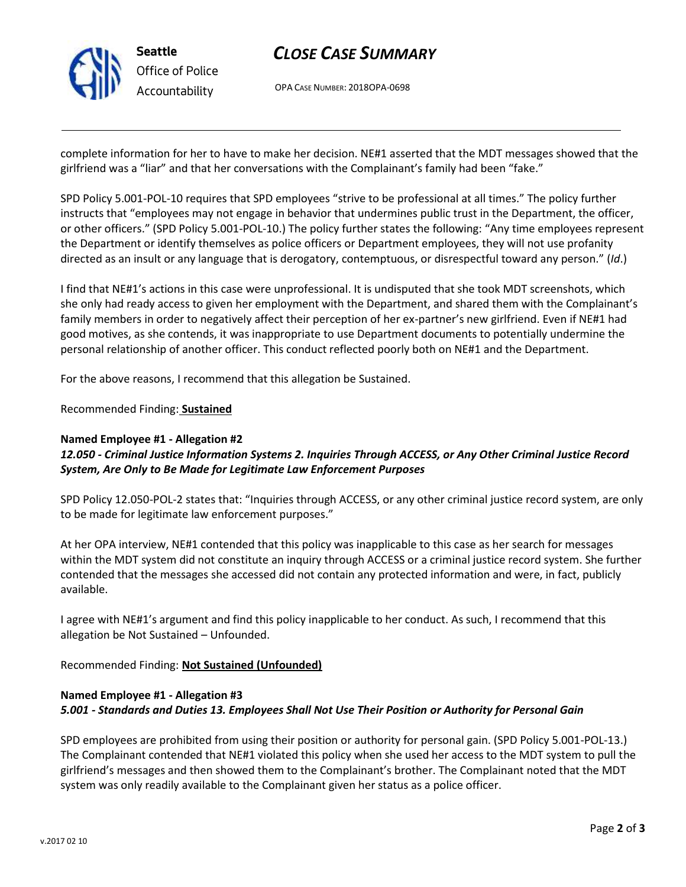

# *CLOSE CASE SUMMARY*

OPA CASE NUMBER: 2018OPA-0698

complete information for her to have to make her decision. NE#1 asserted that the MDT messages showed that the girlfriend was a "liar" and that her conversations with the Complainant's family had been "fake."

SPD Policy 5.001-POL-10 requires that SPD employees "strive to be professional at all times." The policy further instructs that "employees may not engage in behavior that undermines public trust in the Department, the officer, or other officers." (SPD Policy 5.001-POL-10.) The policy further states the following: "Any time employees represent the Department or identify themselves as police officers or Department employees, they will not use profanity directed as an insult or any language that is derogatory, contemptuous, or disrespectful toward any person." (*Id*.)

I find that NE#1's actions in this case were unprofessional. It is undisputed that she took MDT screenshots, which she only had ready access to given her employment with the Department, and shared them with the Complainant's family members in order to negatively affect their perception of her ex-partner's new girlfriend. Even if NE#1 had good motives, as she contends, it was inappropriate to use Department documents to potentially undermine the personal relationship of another officer. This conduct reflected poorly both on NE#1 and the Department.

For the above reasons, I recommend that this allegation be Sustained.

Recommended Finding: **Sustained**

### **Named Employee #1 - Allegation #2**

## *12.050 - Criminal Justice Information Systems 2. Inquiries Through ACCESS, or Any Other Criminal Justice Record System, Are Only to Be Made for Legitimate Law Enforcement Purposes*

SPD Policy 12.050-POL-2 states that: "Inquiries through ACCESS, or any other criminal justice record system, are only to be made for legitimate law enforcement purposes."

At her OPA interview, NE#1 contended that this policy was inapplicable to this case as her search for messages within the MDT system did not constitute an inquiry through ACCESS or a criminal justice record system. She further contended that the messages she accessed did not contain any protected information and were, in fact, publicly available.

I agree with NE#1's argument and find this policy inapplicable to her conduct. As such, I recommend that this allegation be Not Sustained – Unfounded.

Recommended Finding: **Not Sustained (Unfounded)**

## **Named Employee #1 - Allegation #3** *5.001 - Standards and Duties 13. Employees Shall Not Use Their Position or Authority for Personal Gain*

SPD employees are prohibited from using their position or authority for personal gain. (SPD Policy 5.001-POL-13.) The Complainant contended that NE#1 violated this policy when she used her access to the MDT system to pull the girlfriend's messages and then showed them to the Complainant's brother. The Complainant noted that the MDT system was only readily available to the Complainant given her status as a police officer.